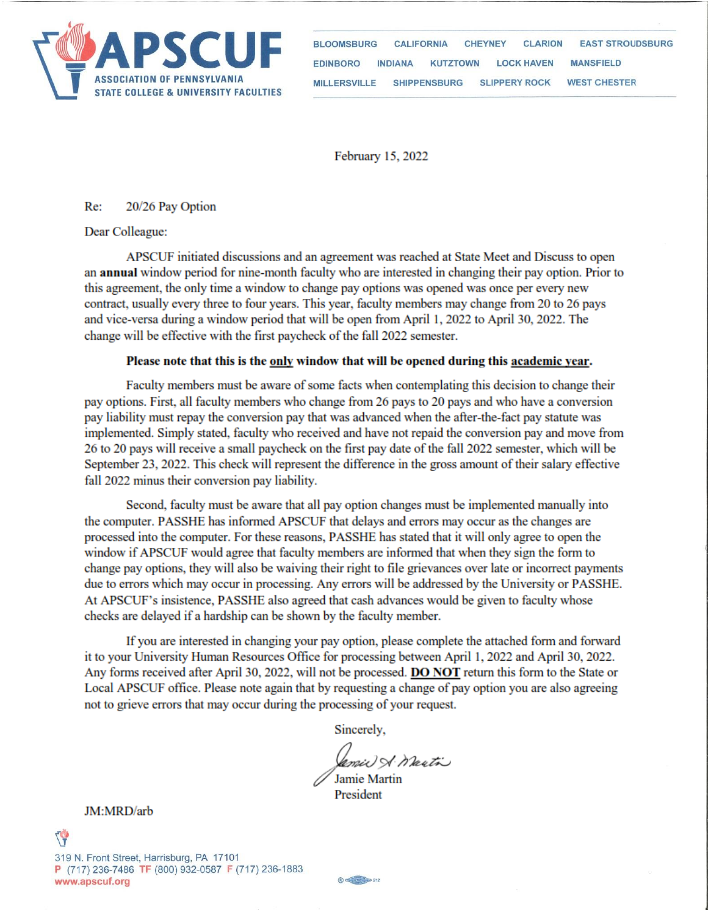

**BLOOMSBURG CALIFORNIA CHEYNEY CLARION EAST STROUDSBURG EDINBORO LOCK HAVEN MANSEIELD INDIANA KUTZTOWN MILLERSVILLE SHIPPENSBURG SLIPPERY ROCK WEST CHESTER** 

February 15, 2022

Re: 20/26 Pay Option

Dear Colleague:

APSCUF initiated discussions and an agreement was reached at State Meet and Discuss to open an **annual** window period for nine-month faculty who are interested in changing their pay option. Prior to this agreement, the only time a window to change pay options was opened was once per every new contract, usually every three to four years. This year, faculty members may change from 20 to 26 pays and vice-versa during a window period that will be open from April 1, 2022 to April 30, 2022. The change will be effective with the first paycheck of the fall 2022 semester.

## Please note that this is the only window that will be opened during this academic year.

Faculty members must be aware of some facts when contemplating this decision to change their pay options. First, all faculty members who change from 26 pays to 20 pays and who have a conversion pay liability must repay the conversion pay that was advanced when the after-the-fact pay statute was implemented. Simply stated, faculty who received and have not repaid the conversion pay and move from 26 to 20 pays will receive a small paycheck on the first pay date of the fall 2022 semester, which will be September 23, 2022. This check will represent the difference in the gross amount of their salary effective fall 2022 minus their conversion pay liability.

Second, faculty must be aware that all pay option changes must be implemented manually into the computer. PASSHE has informed APSCUF that delays and errors may occur as the changes are processed into the computer. For these reasons, PASSHE has stated that it will only agree to open the window if APSCUF would agree that faculty members are informed that when they sign the form to change pay options, they will also be waiving their right to file grievances over late or incorrect payments due to errors which may occur in processing. Any errors will be addressed by the University or PASSHE. At APSCUF's insistence, PASSHE also agreed that cash advances would be given to faculty whose checks are delayed if a hardship can be shown by the faculty member.

If you are interested in changing your pay option, please complete the attached form and forward it to your University Human Resources Office for processing between April 1, 2022 and April 30, 2022. Any forms received after April 30, 2022, will not be processed. DO NOT return this form to the State or Local APSCUF office. Please note again that by requesting a change of pay option you are also agreeing not to grieve errors that may occur during the processing of your request.

Sincerely,

amic) A. Warti Jamie Martin

President

JM:MRD/arb

 $\bigcirc$   $\bigcirc$  212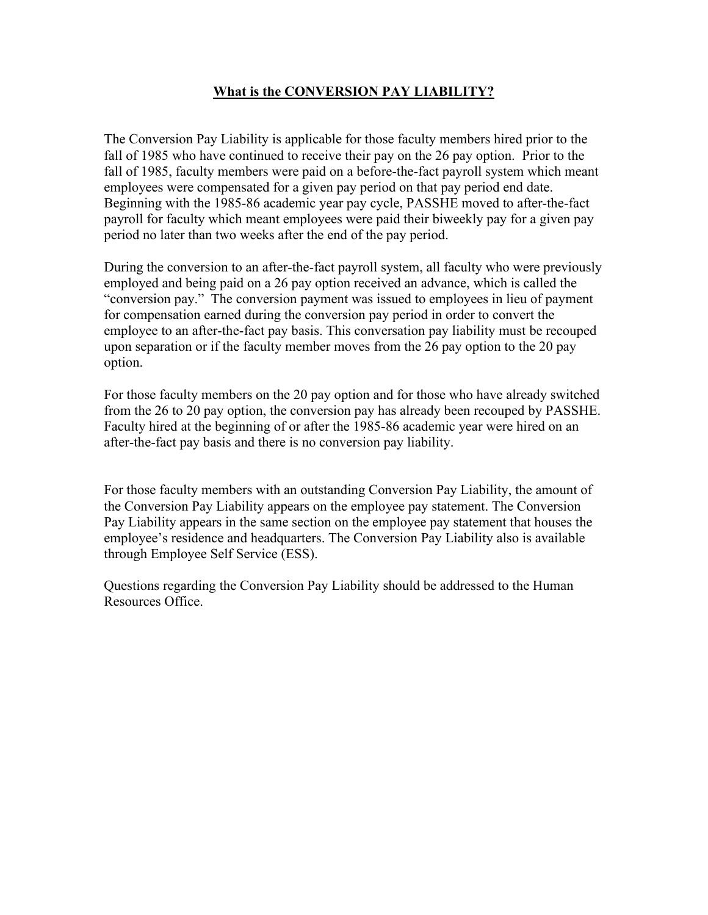## **What is the CONVERSION PAY LIABILITY?**

The Conversion Pay Liability is applicable for those faculty members hired prior to the fall of 1985 who have continued to receive their pay on the 26 pay option. Prior to the fall of 1985, faculty members were paid on a before-the-fact payroll system which meant employees were compensated for a given pay period on that pay period end date. Beginning with the 1985-86 academic year pay cycle, PASSHE moved to after-the-fact payroll for faculty which meant employees were paid their biweekly pay for a given pay period no later than two weeks after the end of the pay period.

During the conversion to an after-the-fact payroll system, all faculty who were previously employed and being paid on a 26 pay option received an advance, which is called the "conversion pay." The conversion payment was issued to employees in lieu of payment for compensation earned during the conversion pay period in order to convert the employee to an after-the-fact pay basis. This conversation pay liability must be recouped upon separation or if the faculty member moves from the 26 pay option to the 20 pay option.

For those faculty members on the 20 pay option and for those who have already switched from the 26 to 20 pay option, the conversion pay has already been recouped by PASSHE. Faculty hired at the beginning of or after the 1985-86 academic year were hired on an after-the-fact pay basis and there is no conversion pay liability.

For those faculty members with an outstanding Conversion Pay Liability, the amount of the Conversion Pay Liability appears on the employee pay statement. The Conversion Pay Liability appears in the same section on the employee pay statement that houses the employee's residence and headquarters. The Conversion Pay Liability also is available through Employee Self Service (ESS).

Questions regarding the Conversion Pay Liability should be addressed to the Human Resources Office.